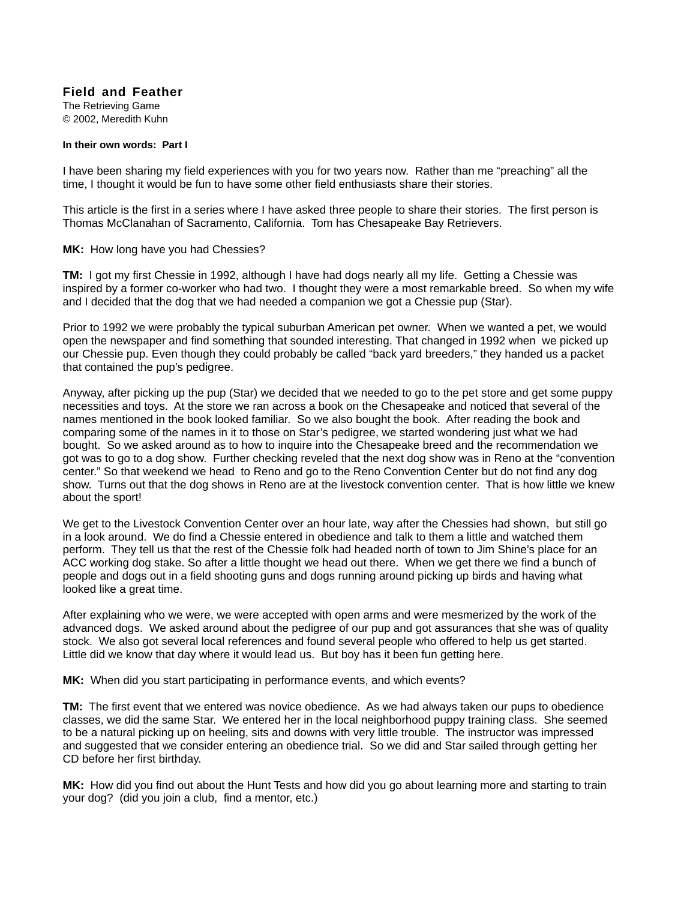**Field and Feather**

The Retrieving Game © 2002, Meredith Kuhn

## **In their own words: Part I**

I have been sharing my field experiences with you for two years now. Rather than me "preaching" all the time, I thought it would be fun to have some other field enthusiasts share their stories.

This article is the first in a series where I have asked three people to share their stories. The first person is Thomas McClanahan of Sacramento, California. Tom has Chesapeake Bay Retrievers.

## **MK:** How long have you had Chessies?

**TM:** I got my first Chessie in 1992, although I have had dogs nearly all my life. Getting a Chessie was inspired by a former co-worker who had two. I thought they were a most remarkable breed. So when my wife and I decided that the dog that we had needed a companion we got a Chessie pup (Star).

Prior to 1992 we were probably the typical suburban American pet owner. When we wanted a pet, we would open the newspaper and find something that sounded interesting. That changed in 1992 when we picked up our Chessie pup. Even though they could probably be called "back yard breeders," they handed us a packet that contained the pup's pedigree.

Anyway, after picking up the pup (Star) we decided that we needed to go to the pet store and get some puppy necessities and toys. At the store we ran across a book on the Chesapeake and noticed that several of the names mentioned in the book looked familiar. So we also bought the book. After reading the book and comparing some of the names in it to those on Star's pedigree, we started wondering just what we had bought. So we asked around as to how to inquire into the Chesapeake breed and the recommendation we got was to go to a dog show. Further checking reveled that the next dog show was in Reno at the "convention center." So that weekend we head to Reno and go to the Reno Convention Center but do not find any dog show. Turns out that the dog shows in Reno are at the livestock convention center. That is how little we knew about the sport!

We get to the Livestock Convention Center over an hour late, way after the Chessies had shown, but still go in a look around. We do find a Chessie entered in obedience and talk to them a little and watched them perform. They tell us that the rest of the Chessie folk had headed north of town to Jim Shine's place for an ACC working dog stake. So after a little thought we head out there. When we get there we find a bunch of people and dogs out in a field shooting guns and dogs running around picking up birds and having what looked like a great time.

After explaining who we were, we were accepted with open arms and were mesmerized by the work of the advanced dogs. We asked around about the pedigree of our pup and got assurances that she was of quality stock. We also got several local references and found several people who offered to help us get started. Little did we know that day where it would lead us. But boy has it been fun getting here.

**MK:** When did you start participating in performance events, and which events?

**TM:** The first event that we entered was novice obedience. As we had always taken our pups to obedience classes, we did the same Star. We entered her in the local neighborhood puppy training class. She seemed to be a natural picking up on heeling, sits and downs with very little trouble. The instructor was impressed and suggested that we consider entering an obedience trial. So we did and Star sailed through getting her CD before her first birthday.

**MK:** How did you find out about the Hunt Tests and how did you go about learning more and starting to train your dog? (did you join a club, find a mentor, etc.)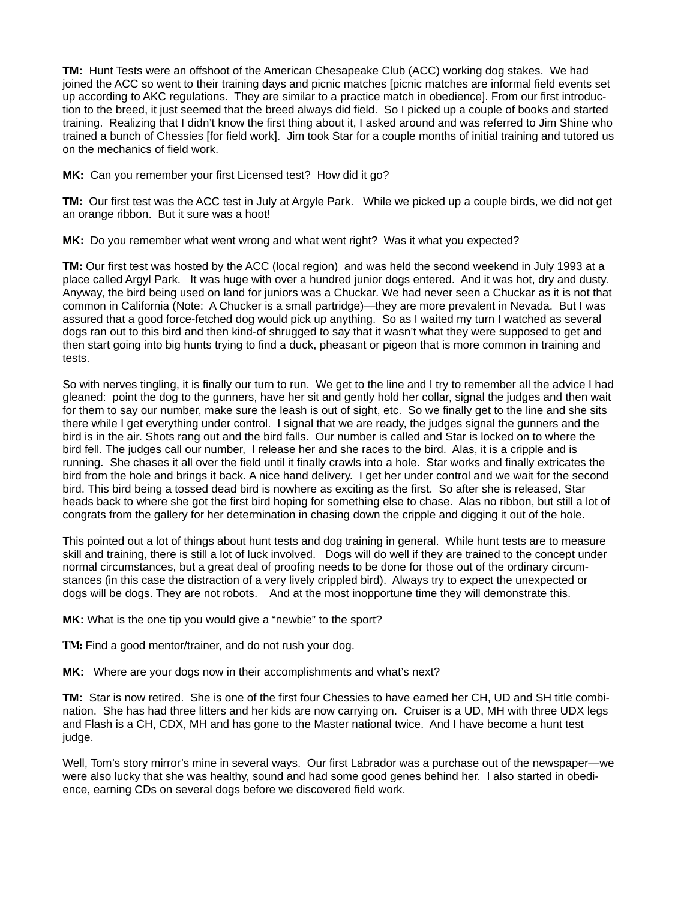**TM:** Hunt Tests were an offshoot of the American Chesapeake Club (ACC) working dog stakes. We had joined the ACC so went to their training days and picnic matches [picnic matches are informal field events set up according to AKC regulations. They are similar to a practice match in obedience]. From our first introduction to the breed, it just seemed that the breed always did field. So I picked up a couple of books and started training. Realizing that I didn't know the first thing about it, I asked around and was referred to Jim Shine who trained a bunch of Chessies [for field work]. Jim took Star for a couple months of initial training and tutored us on the mechanics of field work.

**MK:** Can you remember your first Licensed test? How did it go?

**TM:** Our first test was the ACC test in July at Argyle Park. While we picked up a couple birds, we did not get an orange ribbon. But it sure was a hoot!

**MK:** Do you remember what went wrong and what went right? Was it what you expected?

**TM:** Our first test was hosted by the ACC (local region) and was held the second weekend in July 1993 at a place called Argyl Park. It was huge with over a hundred junior dogs entered. And it was hot, dry and dusty. Anyway, the bird being used on land for juniors was a Chuckar. We had never seen a Chuckar as it is not that common in California (Note: A Chucker is a small partridge)—they are more prevalent in Nevada. But I was assured that a good force-fetched dog would pick up anything. So as I waited my turn I watched as several dogs ran out to this bird and then kind-of shrugged to say that it wasn't what they were supposed to get and then start going into big hunts trying to find a duck, pheasant or pigeon that is more common in training and tests.

So with nerves tingling, it is finally our turn to run. We get to the line and I try to remember all the advice I had gleaned: point the dog to the gunners, have her sit and gently hold her collar, signal the judges and then wait for them to say our number, make sure the leash is out of sight, etc. So we finally get to the line and she sits there while I get everything under control. I signal that we are ready, the judges signal the gunners and the bird is in the air. Shots rang out and the bird falls. Our number is called and Star is locked on to where the bird fell. The judges call our number, I release her and she races to the bird. Alas, it is a cripple and is running. She chases it all over the field until it finally crawls into a hole. Star works and finally extricates the bird from the hole and brings it back. A nice hand delivery. I get her under control and we wait for the second bird. This bird being a tossed dead bird is nowhere as exciting as the first. So after she is released, Star heads back to where she got the first bird hoping for something else to chase. Alas no ribbon, but still a lot of congrats from the gallery for her determination in chasing down the cripple and digging it out of the hole.

This pointed out a lot of things about hunt tests and dog training in general. While hunt tests are to measure skill and training, there is still a lot of luck involved. Dogs will do well if they are trained to the concept under normal circumstances, but a great deal of proofing needs to be done for those out of the ordinary circumstances (in this case the distraction of a very lively crippled bird). Always try to expect the unexpected or dogs will be dogs. They are not robots. And at the most inopportune time they will demonstrate this.

**MK:** What is the one tip you would give a "newbie" to the sport?

**TM:** Find a good mentor/trainer, and do not rush your dog.

**MK:** Where are your dogs now in their accomplishments and what's next?

**TM:** Star is now retired. She is one of the first four Chessies to have earned her CH, UD and SH title combination. She has had three litters and her kids are now carrying on. Cruiser is a UD, MH with three UDX legs and Flash is a CH, CDX, MH and has gone to the Master national twice. And I have become a hunt test judge.

Well, Tom's story mirror's mine in several ways. Our first Labrador was a purchase out of the newspaper—we were also lucky that she was healthy, sound and had some good genes behind her. I also started in obedience, earning CDs on several dogs before we discovered field work.